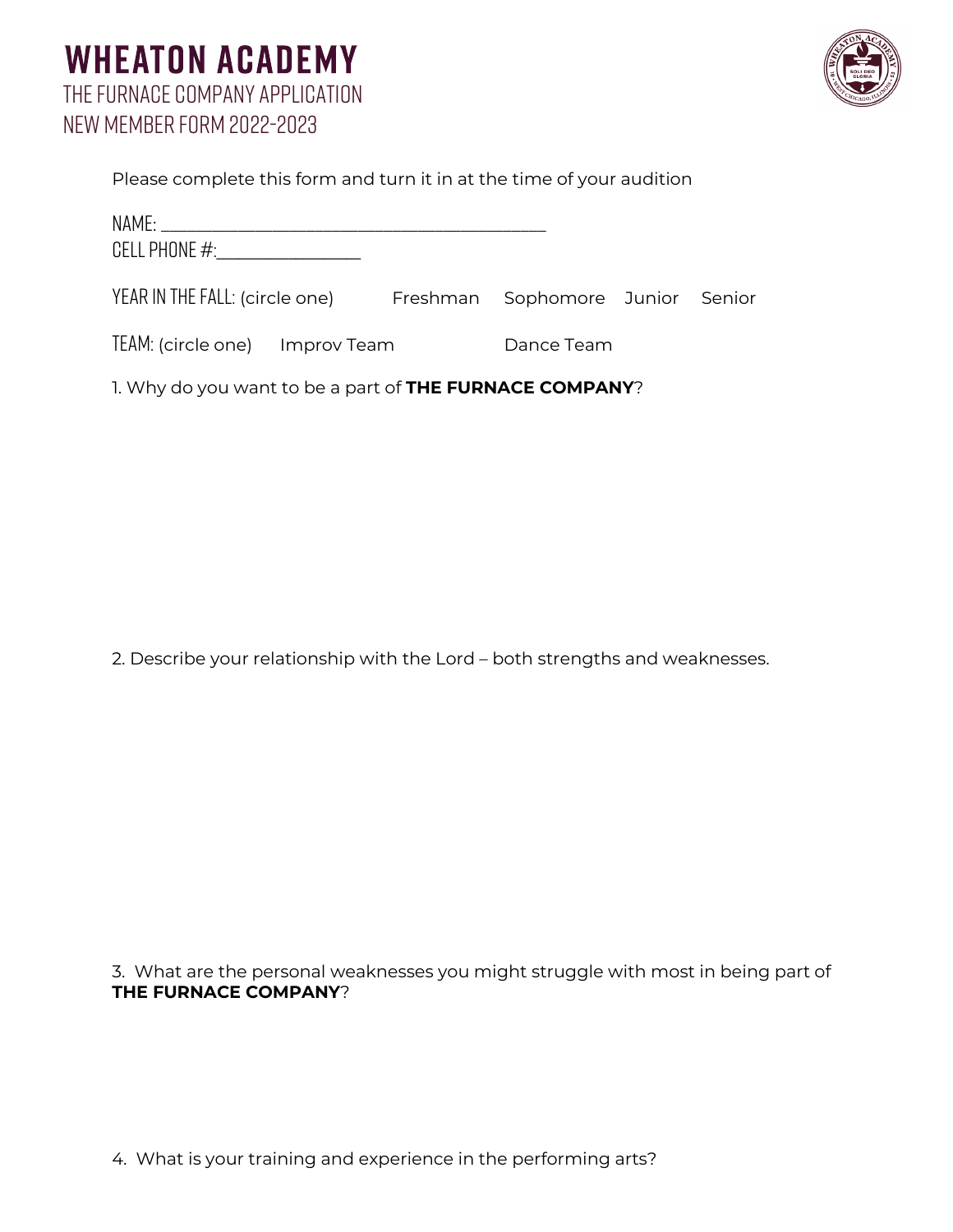## **WHEATON ACADEMY** The Furnace Company application New Member form 2022-2023



| Please complete this form and turn it in at the time of your audition |  |
|-----------------------------------------------------------------------|--|

| CELL PHONE #:__________________                                 |  |            |  |  |  |
|-----------------------------------------------------------------|--|------------|--|--|--|
| YEAR IN THE FALL: (circle one) Freshman Sophomore Junior Senior |  |            |  |  |  |
| TEAM: (circle one) Improv Team                                  |  | Dance Team |  |  |  |
| 1. Why do you want to be a part of <b>THE FURNACE COMPANY</b> ? |  |            |  |  |  |

2. Describe your relationship with the Lord – both strengths and weaknesses.

3. What are the personal weaknesses you might struggle with most in being part of **THE FURNACE COMPANY**?

4. What is your training and experience in the performing arts?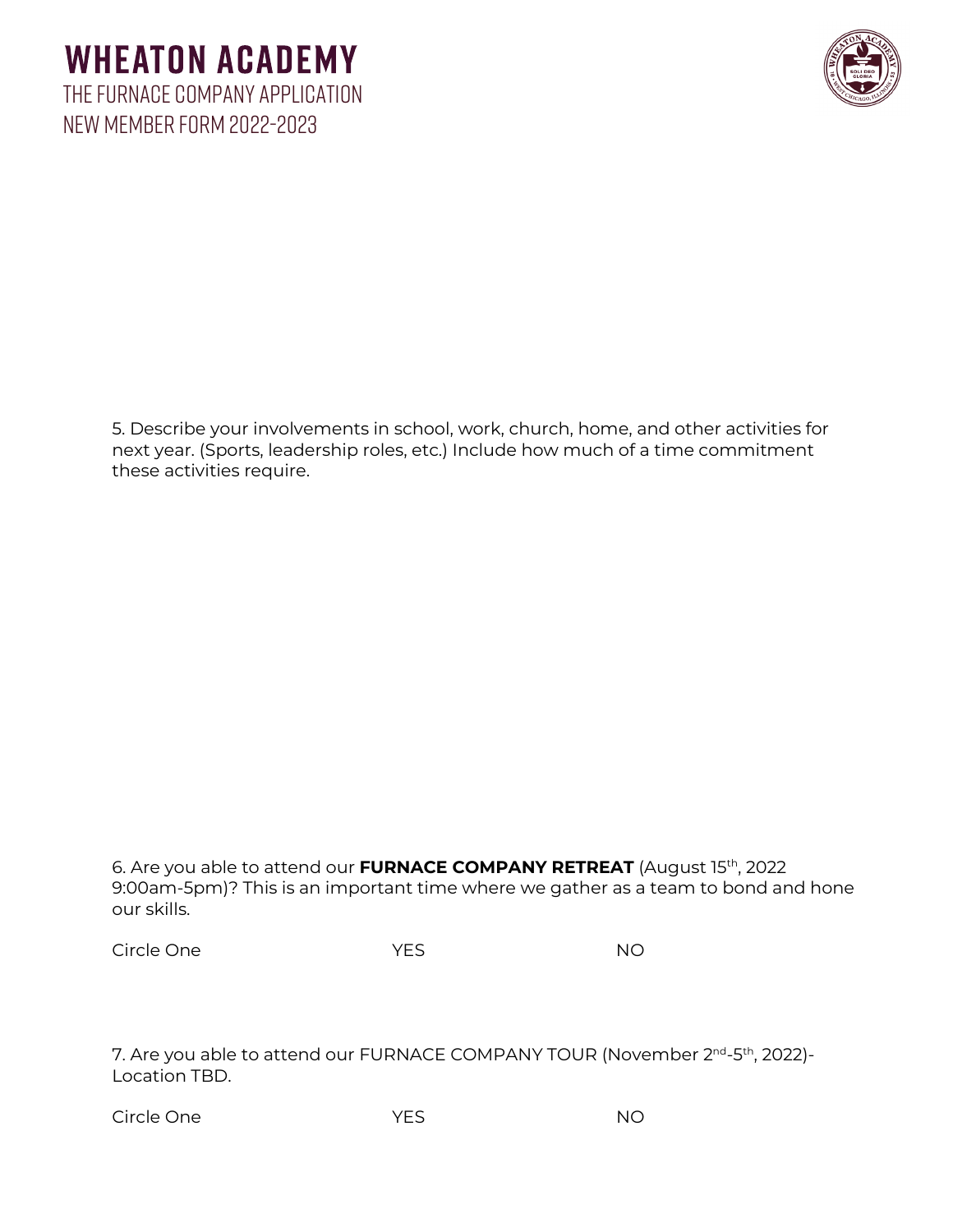## **WHEATON ACADEMY** The Furnace Company application New Member form 2022-2023



5. Describe your involvements in school, work, church, home, and other activities for next year. (Sports, leadership roles, etc.) Include how much of a time commitment these activities require.

| 6. Are you able to attend our <b>FURNACE COMPANY RETREAT</b> (August 15 <sup>th</sup> , 2022) |
|-----------------------------------------------------------------------------------------------|
| 9:00am-5pm)? This is an important time where we gather as a team to bond and hone             |
| our skills.                                                                                   |

7. Are you able to attend our FURNACE COMPANY TOUR (November 2<sup>nd</sup>-5<sup>th</sup>, 2022)-Location TBD.

| Circle One | YES | <b>NO</b> |
|------------|-----|-----------|
|            |     |           |